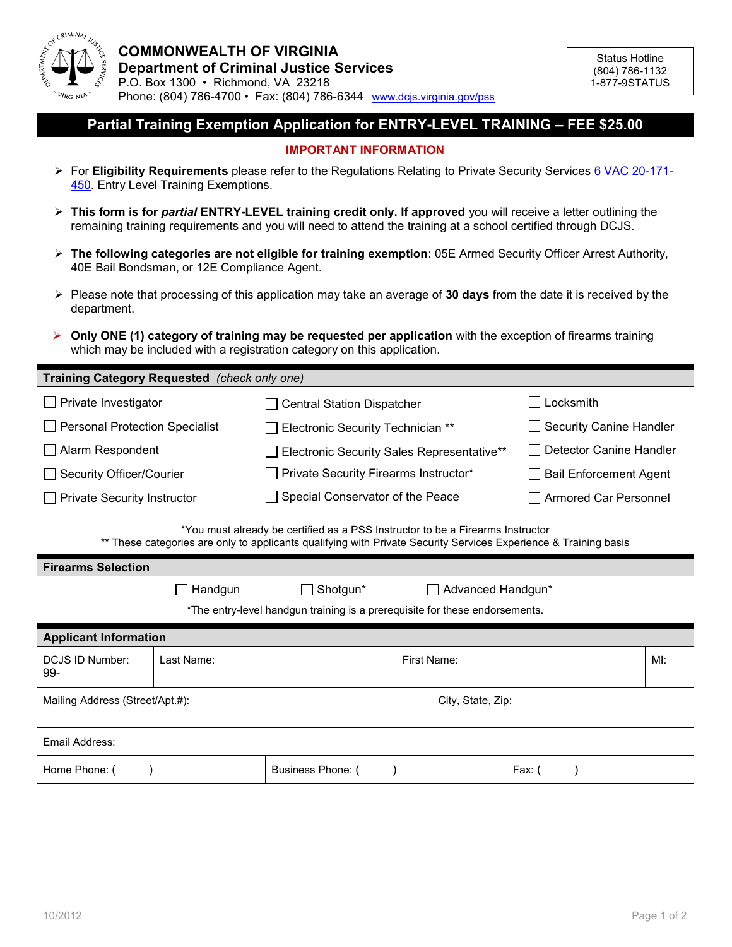

## **Partial Training Exemption Application for ENTRY-LEVEL TRAINING – FEE \$25.00**

## **IMPORTANT INFORMATION**

- For **Eligibility Requirements** please refer to the Regulations Relating to Private Security Services [6 VAC 20](http://www.dcjs.virginia.gov/pss/documents/administrativeCode/section450.pdf)-171- [450.](http://www.dcjs.virginia.gov/pss/documents/administrativeCode/section450.pdf) Entry Level Training Exemptions.
- **This form is for** *partial* **ENTRY-LEVEL training credit only. If approved** you will receive a letter outlining the remaining training requirements and you will need to attend the training at a school certified through DCJS.
- **The following categories are not eligible for training exemption**: 05E Armed Security Officer Arrest Authority, 40E Bail Bondsman, or 12E Compliance Agent.
- Please note that processing of this application may take an average of **30 days** from the date it is received by the department.
- **Only ONE (1) category of training may be requested per application** with the exception of firearms training which may be included with a registration category on this application.

## **Training Category Requested** *(check only one)*

| <b>Haming Category Requested</b> (Check Only One)                                                                                                                                                                               |            |                                            |  |                                |  |        |
|---------------------------------------------------------------------------------------------------------------------------------------------------------------------------------------------------------------------------------|------------|--------------------------------------------|--|--------------------------------|--|--------|
| Private Investigator<br>$\Box$                                                                                                                                                                                                  |            | □ Central Station Dispatcher               |  | Locksmith                      |  |        |
| <b>Personal Protection Specialist</b>                                                                                                                                                                                           |            | Electronic Security Technician **          |  | <b>Security Canine Handler</b> |  |        |
| $\Box$ Alarm Respondent                                                                                                                                                                                                         |            | Electronic Security Sales Representative** |  | Detector Canine Handler        |  |        |
| <b>Security Officer/Courier</b><br>$\Box$                                                                                                                                                                                       |            | Private Security Firearms Instructor*      |  | <b>Bail Enforcement Agent</b>  |  |        |
| <b>Private Security Instructor</b>                                                                                                                                                                                              |            | Special Conservator of the Peace           |  | Armored Car Personnel          |  |        |
| *You must already be certified as a PSS Instructor to be a Firearms Instructor<br>** These categories are only to applicants qualifying with Private Security Services Experience & Training basis<br><b>Firearms Selection</b> |            |                                            |  |                                |  |        |
|                                                                                                                                                                                                                                 |            |                                            |  |                                |  |        |
| Shotgun*<br>Handgun                                                                                                                                                                                                             |            |                                            |  | Advanced Handgun*              |  |        |
| *The entry-level handgun training is a prerequisite for these endorsements.                                                                                                                                                     |            |                                            |  |                                |  |        |
| <b>Applicant Information</b>                                                                                                                                                                                                    |            |                                            |  |                                |  |        |
| DCJS ID Number:<br>99-                                                                                                                                                                                                          | Last Name: |                                            |  | First Name:                    |  | $M!$ : |
| Mailing Address (Street/Apt.#):                                                                                                                                                                                                 |            |                                            |  | City, State, Zip:              |  |        |
| Email Address:                                                                                                                                                                                                                  |            |                                            |  |                                |  |        |
|                                                                                                                                                                                                                                 |            |                                            |  |                                |  |        |

Home Phone: ( )  $\vert$  Business Phone: ( ) Fax: ( )